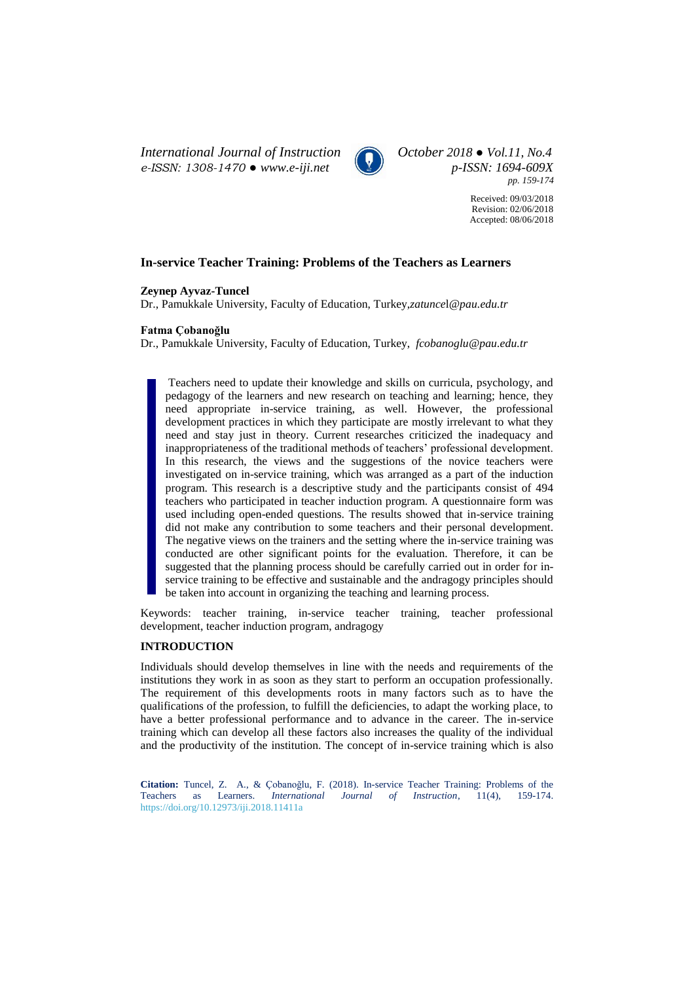*International Journal of Instruction October 2018 ● Vol.11, No.4 e-ISSN: 1308-1470 ● [www.e-iji.net](http://www.e-iji.net/) p-ISSN: 1694-609X*



*pp. 159-174*

Received: 09/03/2018 Revision: 02/06/2018 Accepted: 08/06/2018

# **In-service Teacher Training: Problems of the Teachers as Learners**

### **Zeynep Ayvaz-Tuncel**

Dr., Pamukkale University, Faculty of Education, Turkey,*zatunce*l*@pau.edu.tr*

### **Fatma Çobanoğlu**

Dr., Pamukkale University, Faculty of Education, Turkey, *fcobanoglu@pau.edu.tr*

Teachers need to update their knowledge and skills on curricula, psychology, and pedagogy of the learners and new research on teaching and learning; hence, they need appropriate in-service training, as well. However, the professional development practices in which they participate are mostly irrelevant to what they need and stay just in theory. Current researches criticized the inadequacy and inappropriateness of the traditional methods of teachers' professional development. In this research, the views and the suggestions of the novice teachers were investigated on in-service training, which was arranged as a part of the induction program. This research is a descriptive study and the participants consist of 494 teachers who participated in teacher induction program. A questionnaire form was used including open-ended questions. The results showed that in-service training did not make any contribution to some teachers and their personal development. The negative views on the trainers and the setting where the in-service training was conducted are other significant points for the evaluation. Therefore, it can be suggested that the planning process should be carefully carried out in order for inservice training to be effective and sustainable and the andragogy principles should be taken into account in organizing the teaching and learning process.

Keywords: teacher training, in-service teacher training, teacher professional development, teacher induction program, andragogy

### **INTRODUCTION**

Individuals should develop themselves in line with the needs and requirements of the institutions they work in as soon as they start to perform an occupation professionally. The requirement of this developments roots in many factors such as to have the qualifications of the profession, to fulfill the deficiencies, to adapt the working place, to have a better professional performance and to advance in the career. The in-service training which can develop all these factors also increases the quality of the individual and the productivity of the institution. The concept of in-service training which is also

**Citation:** Tuncel, Z. A., & Çobanoğlu, F. (2018). In-service Teacher Training: Problems of the Teachers as Learners. *International Journal of Instruction*, 11(4), 159-174. <https://doi.org/10.12973/iji.2018.11411a>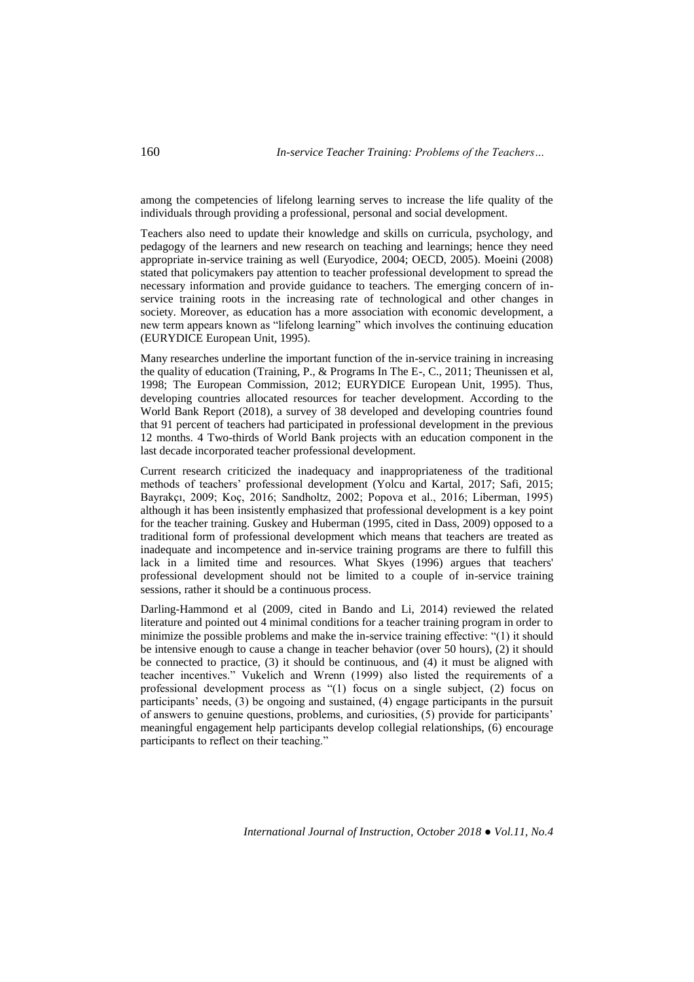among the competencies of lifelong learning serves to increase the life quality of the individuals through providing a professional, personal and social development.

Teachers also need to update their knowledge and skills on curricula, psychology, and pedagogy of the learners and new research on teaching and learnings; hence they need appropriate in-service training as well (Euryodice, 2004; OECD, 2005). Moeini (2008) stated that policymakers pay attention to teacher professional development to spread the necessary information and provide guidance to teachers. The emerging concern of inservice training roots in the increasing rate of technological and other changes in society. Moreover, as education has a more association with economic development, a new term appears known as "lifelong learning" which involves the continuing education (EURYDICE European Unit, 1995).

Many researches underline the important function of the in-service training in increasing the quality of education (Training, P., & Programs In The E-, C., 2011; Theunissen et al, 1998; The European Commission, 2012; EURYDICE European Unit, 1995). Thus, developing countries allocated resources for teacher development. According to the World Bank Report (2018), a survey of 38 developed and developing countries found that 91 percent of teachers had participated in professional development in the previous 12 months. 4 Two-thirds of World Bank projects with an education component in the last decade incorporated teacher professional development.

Current research criticized the inadequacy and inappropriateness of the traditional methods of teachers' professional development (Yolcu and Kartal, 2017; Safi, 2015; Bayrakçı, 2009; Koç, 2016; Sandholtz, 2002; Popova et al., 2016; Liberman, 1995) although it has been insistently emphasized that professional development is a key point for the teacher training. Guskey and Huberman (1995, cited in Dass, 2009) opposed to a traditional form of professional development which means that teachers are treated as inadequate and incompetence and in-service training programs are there to fulfill this lack in a limited time and resources. What Skyes (1996) argues that teachers' professional development should not be limited to a couple of in-service training sessions, rather it should be a continuous process.

Darling-Hammond et al (2009, cited in Bando and Li, 2014) reviewed the related literature and pointed out 4 minimal conditions for a teacher training program in order to minimize the possible problems and make the in-service training effective: "(1) it should be intensive enough to cause a change in teacher behavior (over 50 hours), (2) it should be connected to practice, (3) it should be continuous, and (4) it must be aligned with teacher incentives." Vukelich and Wrenn (1999) also listed the requirements of a professional development process as "(1) focus on a single subject, (2) focus on participants' needs, (3) be ongoing and sustained, (4) engage participants in the pursuit of answers to genuine questions, problems, and curiosities, (5) provide for participants' meaningful engagement help participants develop collegial relationships, (6) encourage participants to reflect on their teaching."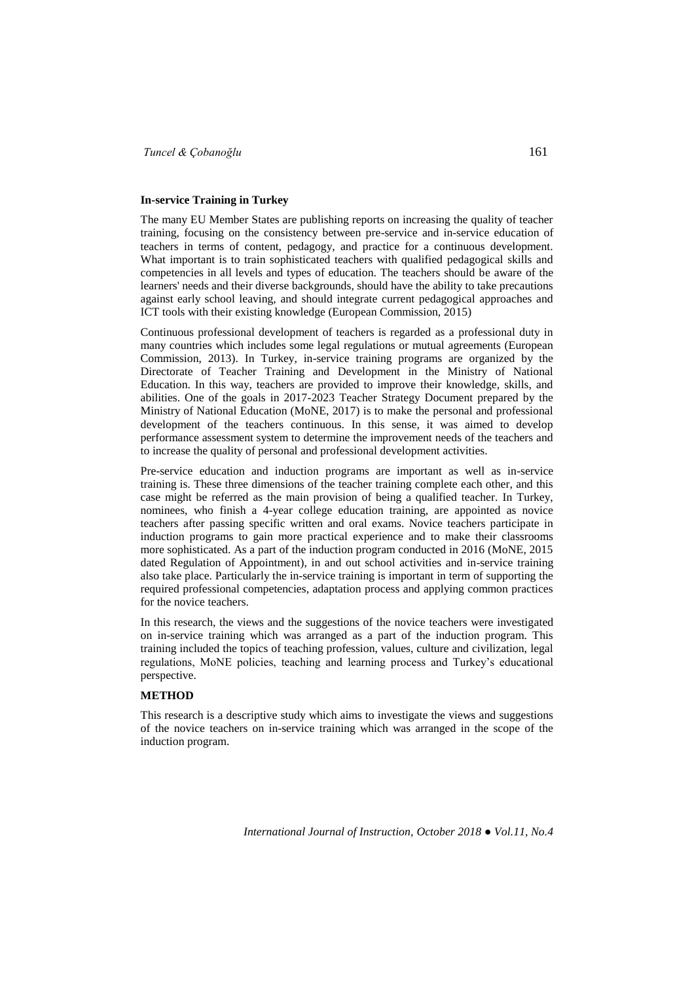### **In-service Training in Turkey**

The many EU Member States are publishing reports on increasing the quality of teacher training, focusing on the consistency between pre-service and in-service education of teachers in terms of content, pedagogy, and practice for a continuous development. What important is to train sophisticated teachers with qualified pedagogical skills and competencies in all levels and types of education. The teachers should be aware of the learners' needs and their diverse backgrounds, should have the ability to take precautions against early school leaving, and should integrate current pedagogical approaches and ICT tools with their existing knowledge (European Commission, 2015)

Continuous professional development of teachers is regarded as a professional duty in many countries which includes some legal regulations or mutual agreements (European Commission, 2013). In Turkey, in-service training programs are organized by the Directorate of Teacher Training and Development in the Ministry of National Education. In this way, teachers are provided to improve their knowledge, skills, and abilities. One of the goals in 2017-2023 Teacher Strategy Document prepared by the Ministry of National Education (MoNE, 2017) is to make the personal and professional development of the teachers continuous. In this sense, it was aimed to develop performance assessment system to determine the improvement needs of the teachers and to increase the quality of personal and professional development activities.

Pre-service education and induction programs are important as well as in-service training is. These three dimensions of the teacher training complete each other, and this case might be referred as the main provision of being a qualified teacher. In Turkey, nominees, who finish a 4-year college education training, are appointed as novice teachers after passing specific written and oral exams. Novice teachers participate in induction programs to gain more practical experience and to make their classrooms more sophisticated. As a part of the induction program conducted in 2016 (MoNE, 2015 dated Regulation of Appointment), in and out school activities and in-service training also take place. Particularly the in-service training is important in term of supporting the required professional competencies, adaptation process and applying common practices for the novice teachers.

In this research, the views and the suggestions of the novice teachers were investigated on in-service training which was arranged as a part of the induction program. This training included the topics of teaching profession, values, culture and civilization, legal regulations, MoNE policies, teaching and learning process and Turkey's educational perspective.

# **METHOD**

This research is a descriptive study which aims to investigate the views and suggestions of the novice teachers on in-service training which was arranged in the scope of the induction program.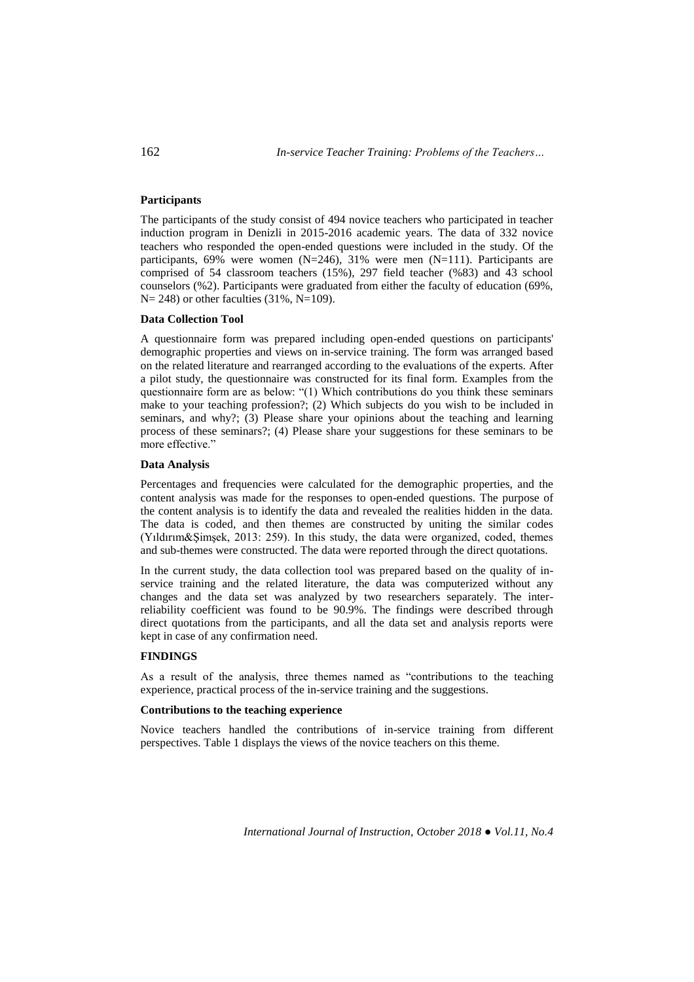### **Participants**

The participants of the study consist of 494 novice teachers who participated in teacher induction program in Denizli in 2015-2016 academic years. The data of 332 novice teachers who responded the open-ended questions were included in the study. Of the participants, 69% were women (N=246), 31% were men (N=111). Participants are comprised of 54 classroom teachers (15%), 297 field teacher (%83) and 43 school counselors (%2). Participants were graduated from either the faculty of education (69%,  $N= 248$ ) or other faculties (31%,  $N=109$ ).

#### **Data Collection Tool**

A questionnaire form was prepared including open-ended questions on participants' demographic properties and views on in-service training. The form was arranged based on the related literature and rearranged according to the evaluations of the experts. After a pilot study, the questionnaire was constructed for its final form. Examples from the questionnaire form are as below: "(1) Which contributions do you think these seminars make to your teaching profession?; (2) Which subjects do you wish to be included in seminars, and why?;  $(3)$  Please share your opinions about the teaching and learning process of these seminars?; (4) Please share your suggestions for these seminars to be more effective."

### **Data Analysis**

Percentages and frequencies were calculated for the demographic properties, and the content analysis was made for the responses to open-ended questions. The purpose of the content analysis is to identify the data and revealed the realities hidden in the data. The data is coded, and then themes are constructed by uniting the similar codes (Yıldırım&Şimşek, 2013: 259). In this study, the data were organized, coded, themes and sub-themes were constructed. The data were reported through the direct quotations.

In the current study, the data collection tool was prepared based on the quality of inservice training and the related literature, the data was computerized without any changes and the data set was analyzed by two researchers separately. The interreliability coefficient was found to be 90.9%. The findings were described through direct quotations from the participants, and all the data set and analysis reports were kept in case of any confirmation need.

# **FINDINGS**

As a result of the analysis, three themes named as "contributions to the teaching experience, practical process of the in-service training and the suggestions.

#### **Contributions to the teaching experience**

Novice teachers handled the contributions of in-service training from different perspectives. Table 1 displays the views of the novice teachers on this theme.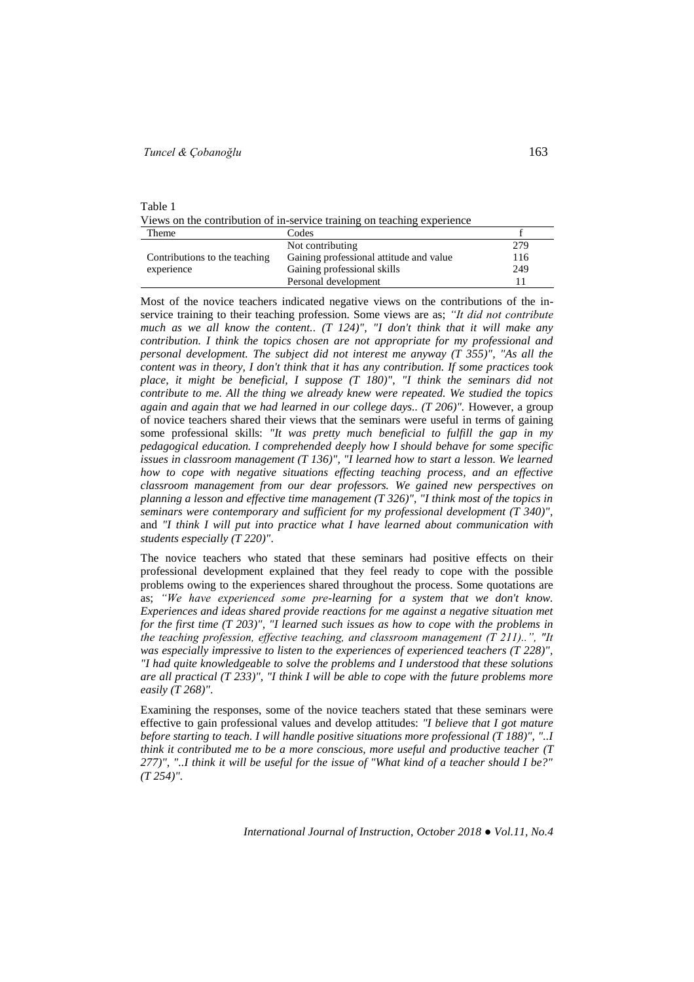Table 1 Views on the contribution of in-service training on teaching experience

| Theme                         | Codes                                   |     |
|-------------------------------|-----------------------------------------|-----|
|                               | Not contributing                        | 279 |
| Contributions to the teaching | Gaining professional attitude and value | 116 |
| experience                    | Gaining professional skills             | 249 |
|                               | Personal development                    |     |

Most of the novice teachers indicated negative views on the contributions of the inservice training to their teaching profession. Some views are as; *"It did not contribute much as we all know the content.. (T 124)", "I don't think that it will make any contribution. I think the topics chosen are not appropriate for my professional and personal development. The subject did not interest me anyway (T 355)", "As all the content was in theory, I don't think that it has any contribution. If some practices took place, it might be beneficial, I suppose (T 180)", "I think the seminars did not contribute to me. All the thing we already knew were repeated. We studied the topics again and again that we had learned in our college days.. (T 206)".* However, a group of novice teachers shared their views that the seminars were useful in terms of gaining some professional skills: *"It was pretty much beneficial to fulfill the gap in my pedagogical education. I comprehended deeply how I should behave for some specific issues in classroom management (T 136)", "I learned how to start a lesson. We learned how to cope with negative situations effecting teaching process, and an effective classroom management from our dear professors. We gained new perspectives on planning a lesson and effective time management (T 326)", "I think most of the topics in seminars were contemporary and sufficient for my professional development (T 340)",* and *"I think I will put into practice what I have learned about communication with students especially (T 220)"*.

The novice teachers who stated that these seminars had positive effects on their professional development explained that they feel ready to cope with the possible problems owing to the experiences shared throughout the process. Some quotations are as; *"We have experienced some pre-learning for a system that we don't know. Experiences and ideas shared provide reactions for me against a negative situation met for the first time (T 203)", "I learned such issues as how to cope with the problems in the teaching profession, effective teaching, and classroom management (T 211)..", "It was especially impressive to listen to the experiences of experienced teachers (T 228)", "I had quite knowledgeable to solve the problems and I understood that these solutions are all practical (T 233)", "I think I will be able to cope with the future problems more easily (T 268)"*.

Examining the responses, some of the novice teachers stated that these seminars were effective to gain professional values and develop attitudes: *"I believe that I got mature before starting to teach. I will handle positive situations more professional (T 188)", "..I think it contributed me to be a more conscious, more useful and productive teacher (T 277)", "..I think it will be useful for the issue of "What kind of a teacher should I be?" (T 254)".*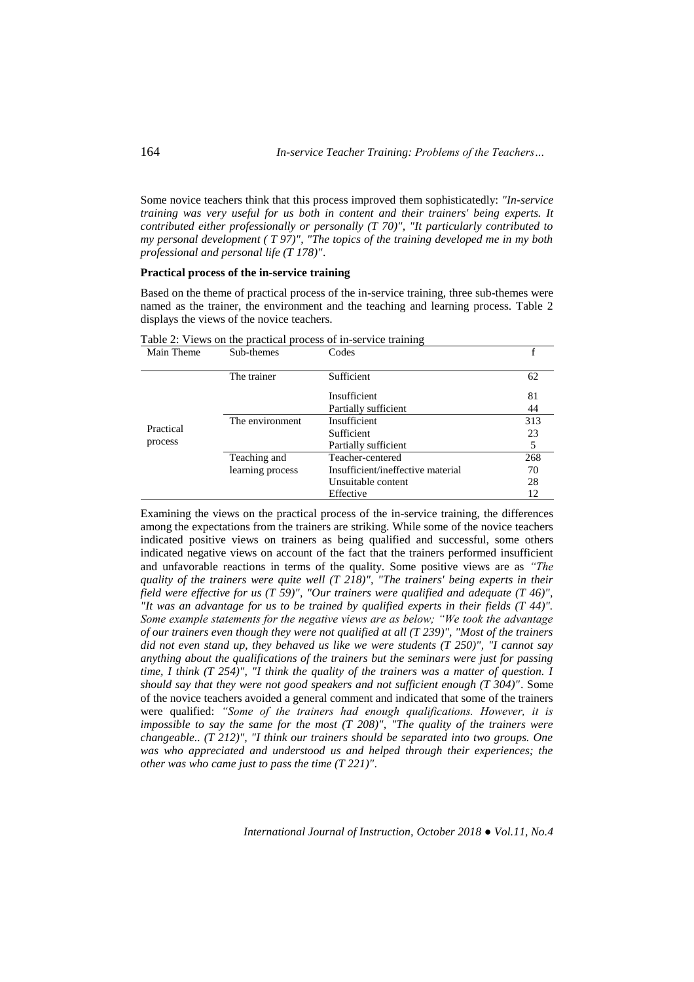Some novice teachers think that this process improved them sophisticatedly: *"In-service training was very useful for us both in content and their trainers' being experts. It contributed either professionally or personally (T 70)", "It particularly contributed to my personal development ( T 97)", "The topics of the training developed me in my both professional and personal life (T 178)"*.

#### **Practical process of the in-service training**

Based on the theme of practical process of the in-service training, three sub-themes were named as the trainer, the environment and the teaching and learning process. Table 2 displays the views of the novice teachers.

| Main Theme           | Sub-themes       | Codes                             |     |
|----------------------|------------------|-----------------------------------|-----|
|                      |                  |                                   |     |
| Practical<br>process | The trainer      | Sufficient                        | 62  |
|                      |                  | Insufficient                      | 81  |
|                      |                  | Partially sufficient              | 44  |
|                      | The environment  | Insufficient                      | 313 |
|                      |                  | Sufficient                        | 23  |
|                      |                  | Partially sufficient              | 5   |
|                      | Teaching and     | Teacher-centered                  | 268 |
|                      | learning process | Insufficient/ineffective material | 70  |
|                      |                  | Unsuitable content                | 28  |
|                      |                  | Effective                         | 12  |

Table 2: Views on the practical process of in-service training

Examining the views on the practical process of the in-service training, the differences among the expectations from the trainers are striking. While some of the novice teachers indicated positive views on trainers as being qualified and successful, some others indicated negative views on account of the fact that the trainers performed insufficient and unfavorable reactions in terms of the quality. Some positive views are as *"The quality of the trainers were quite well (T 218)", "The trainers' being experts in their field were effective for us (T 59)", "Our trainers were qualified and adequate (T 46)", "It was an advantage for us to be trained by qualified experts in their fields (T 44)". Some example statements for the negative views are as below; "We took the advantage of our trainers even though they were not qualified at all (T 239)", "Most of the trainers did not even stand up, they behaved us like we were students (T 250)", "I cannot say anything about the qualifications of the trainers but the seminars were just for passing time, I think (T 254)", "I think the quality of the trainers was a matter of question. I should say that they were not good speakers and not sufficient enough (T 304)"*. Some of the novice teachers avoided a general comment and indicated that some of the trainers were qualified: *"Some of the trainers had enough qualifications. However, it is impossible to say the same for the most (T 208)", "The quality of the trainers were changeable.. (T 212)", "I think our trainers should be separated into two groups. One was who appreciated and understood us and helped through their experiences; the other was who came just to pass the time (T 221)"*.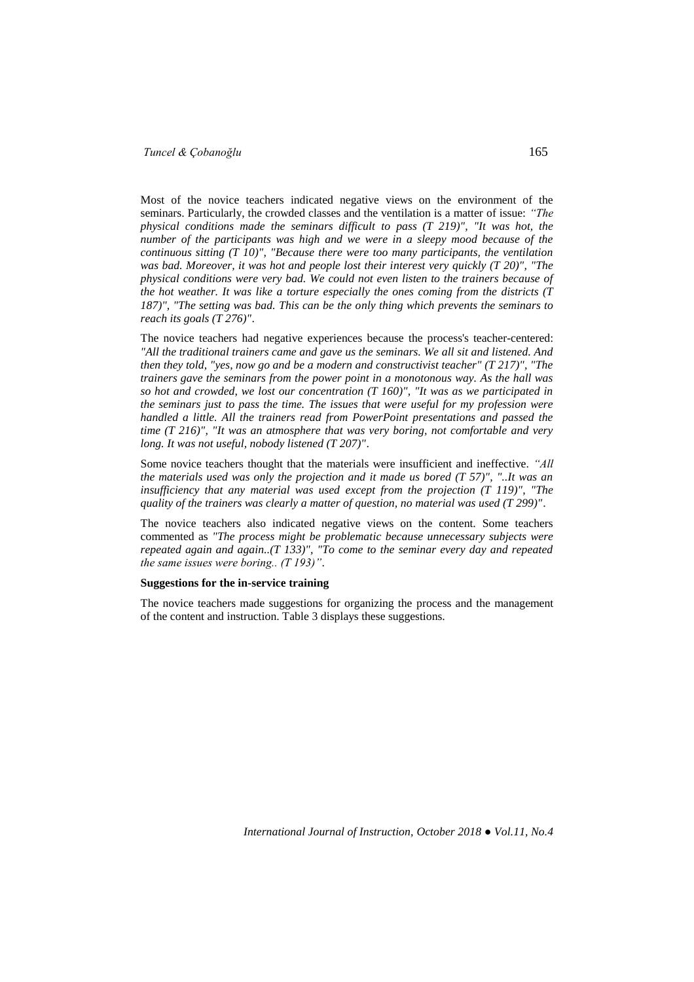### *Tuncel & Çobanoğlu* 165

Most of the novice teachers indicated negative views on the environment of the seminars. Particularly, the crowded classes and the ventilation is a matter of issue: *"The physical conditions made the seminars difficult to pass (T 219)", "It was hot, the number of the participants was high and we were in a sleepy mood because of the continuous sitting (T 10)", "Because there were too many participants, the ventilation was bad. Moreover, it was hot and people lost their interest very quickly (T 20)", "The physical conditions were very bad. We could not even listen to the trainers because of the hot weather. It was like a torture especially the ones coming from the districts (T 187)", "The setting was bad. This can be the only thing which prevents the seminars to reach its goals (T 276)"*.

The novice teachers had negative experiences because the process's teacher-centered: *"All the traditional trainers came and gave us the seminars. We all sit and listened. And then they told, "yes, now go and be a modern and constructivist teacher" (T 217)", "The trainers gave the seminars from the power point in a monotonous way. As the hall was so hot and crowded, we lost our concentration (T 160)", "It was as we participated in the seminars just to pass the time. The issues that were useful for my profession were handled a little. All the trainers read from PowerPoint presentations and passed the time (T 216)", "It was an atmosphere that was very boring, not comfortable and very long. It was not useful, nobody listened (T 207)"*.

Some novice teachers thought that the materials were insufficient and ineffective. *"All the materials used was only the projection and it made us bored (T 57)", "..It was an insufficiency that any material was used except from the projection (T 119)", "The quality of the trainers was clearly a matter of question, no material was used (T 299)"*.

The novice teachers also indicated negative views on the content. Some teachers commented as *"The process might be problematic because unnecessary subjects were repeated again and again..(T 133)", "To come to the seminar every day and repeated the same issues were boring.. (T 193)"*.

#### **Suggestions for the in-service training**

The novice teachers made suggestions for organizing the process and the management of the content and instruction. Table 3 displays these suggestions.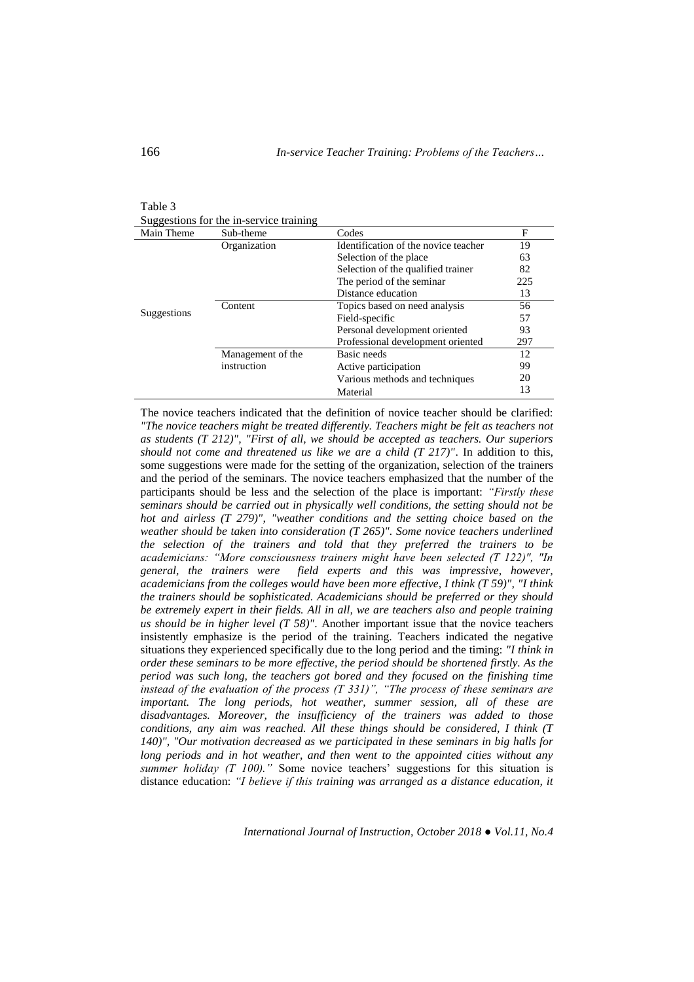| Table 3 |
|---------|
|---------|

Suggestions for the in-service training

| Main Theme  | Sub-theme         | Codes                                | F   |
|-------------|-------------------|--------------------------------------|-----|
| Suggestions | Organization      | Identification of the novice teacher | 19  |
|             |                   | Selection of the place               | 63  |
|             |                   | Selection of the qualified trainer   | 82  |
|             |                   | The period of the seminar            | 225 |
|             |                   | Distance education                   | 13  |
|             | Content           | Topics based on need analysis        | 56  |
|             |                   | Field-specific                       | 57  |
|             |                   | Personal development oriented        | 93  |
|             |                   | Professional development oriented    | 297 |
|             | Management of the | Basic needs                          | 12  |
|             | instruction       | Active participation                 | 99  |
|             |                   | Various methods and techniques       | 20  |
|             |                   | Material                             | 13  |

The novice teachers indicated that the definition of novice teacher should be clarified: *"The novice teachers might be treated differently. Teachers might be felt as teachers not as students (T 212)", "First of all, we should be accepted as teachers. Our superiors should not come and threatened us like we are a child (T 217)"*. In addition to this, some suggestions were made for the setting of the organization, selection of the trainers and the period of the seminars. The novice teachers emphasized that the number of the participants should be less and the selection of the place is important: *"Firstly these seminars should be carried out in physically well conditions, the setting should not be hot and airless (T 279)", "weather conditions and the setting choice based on the weather should be taken into consideration (T 265)". Some novice teachers underlined the selection of the trainers and told that they preferred the trainers to be academicians: "More consciousness trainers might have been selected (T 122)", "In*  field experts and this was impressive, however, *academicians from the colleges would have been more effective, I think (T 59)", "I think the trainers should be sophisticated. Academicians should be preferred or they should be extremely expert in their fields. All in all, we are teachers also and people training us should be in higher level (T 58)"*. Another important issue that the novice teachers insistently emphasize is the period of the training. Teachers indicated the negative situations they experienced specifically due to the long period and the timing: *"I think in order these seminars to be more effective, the period should be shortened firstly. As the period was such long, the teachers got bored and they focused on the finishing time instead of the evaluation of the process (T 331)", "The process of these seminars are important. The long periods, hot weather, summer session, all of these are disadvantages. Moreover, the insufficiency of the trainers was added to those conditions, any aim was reached. All these things should be considered, I think (T 140)", "Our motivation decreased as we participated in these seminars in big halls for*  long periods and in hot weather, and then went to the appointed cities without any *summer holiday (T 100)."* Some novice teachers' suggestions for this situation is distance education: *"I believe if this training was arranged as a distance education, it*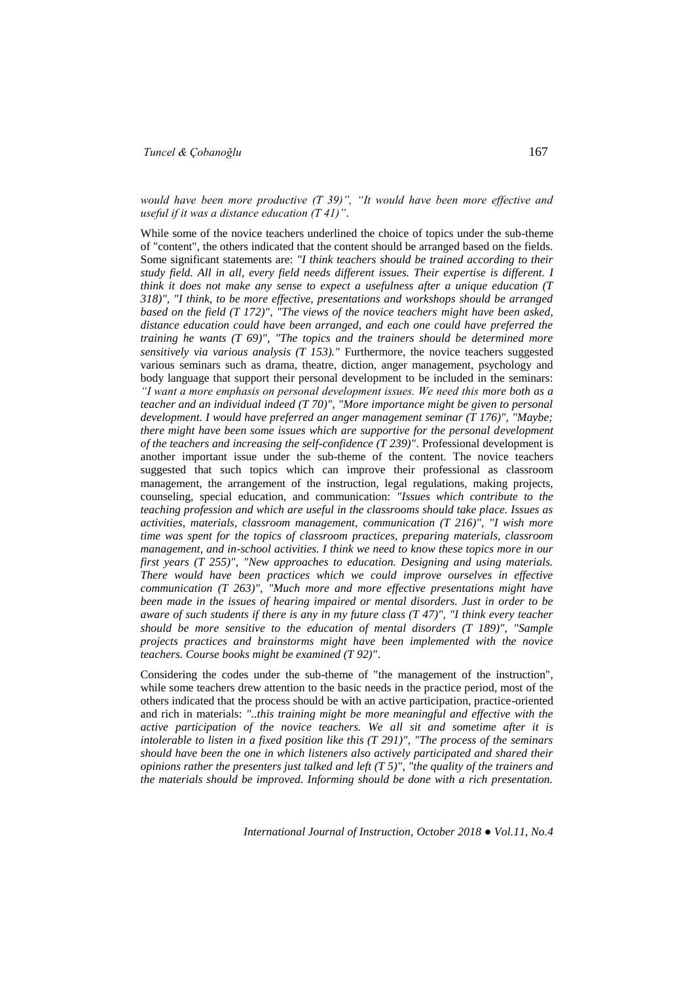### *Tuncel & Çobanoğlu* 167

*would have been more productive (T 39)", "It would have been more effective and useful if it was a distance education (T 41)"*.

While some of the novice teachers underlined the choice of topics under the sub-theme of "content", the others indicated that the content should be arranged based on the fields. Some significant statements are: *"I think teachers should be trained according to their study field. All in all, every field needs different issues. Their expertise is different. I think it does not make any sense to expect a usefulness after a unique education (T 318)", "I think, to be more effective, presentations and workshops should be arranged based on the field (T 172)", "The views of the novice teachers might have been asked, distance education could have been arranged, and each one could have preferred the training he wants (T 69)", "The topics and the trainers should be determined more sensitively via various analysis (T 153)."* Furthermore, the novice teachers suggested various seminars such as drama, theatre, diction, anger management, psychology and body language that support their personal development to be included in the seminars: *"I want a more emphasis on personal development issues. We need this more both as a teacher and an individual indeed (T 70)", "More importance might be given to personal development. I would have preferred an anger management seminar (T 176)", "Maybe; there might have been some issues which are supportive for the personal development of the teachers and increasing the self-confidence (T 239)"*. Professional development is another important issue under the sub-theme of the content. The novice teachers suggested that such topics which can improve their professional as classroom management, the arrangement of the instruction, legal regulations, making projects, counseling, special education, and communication: *"Issues which contribute to the teaching profession and which are useful in the classrooms should take place. Issues as activities, materials, classroom management, communication (T 216)", "I wish more time was spent for the topics of classroom practices, preparing materials, classroom management, and in-school activities. I think we need to know these topics more in our first years (T 255)", "New approaches to education. Designing and using materials. There would have been practices which we could improve ourselves in effective communication (T 263)", "Much more and more effective presentations might have been made in the issues of hearing impaired or mental disorders. Just in order to be aware of such students if there is any in my future class (T 47)", "I think every teacher should be more sensitive to the education of mental disorders (T 189)", "Sample projects practices and brainstorms might have been implemented with the novice teachers. Course books might be examined (T 92)"*.

Considering the codes under the sub-theme of "the management of the instruction", while some teachers drew attention to the basic needs in the practice period, most of the others indicated that the process should be with an active participation, practice-oriented and rich in materials: *"..this training might be more meaningful and effective with the active participation of the novice teachers. We all sit and sometime after it is intolerable to listen in a fixed position like this (T 291)", "The process of the seminars should have been the one in which listeners also actively participated and shared their opinions rather the presenters just talked and left (T 5)", "the quality of the trainers and the materials should be improved. Informing should be done with a rich presentation.*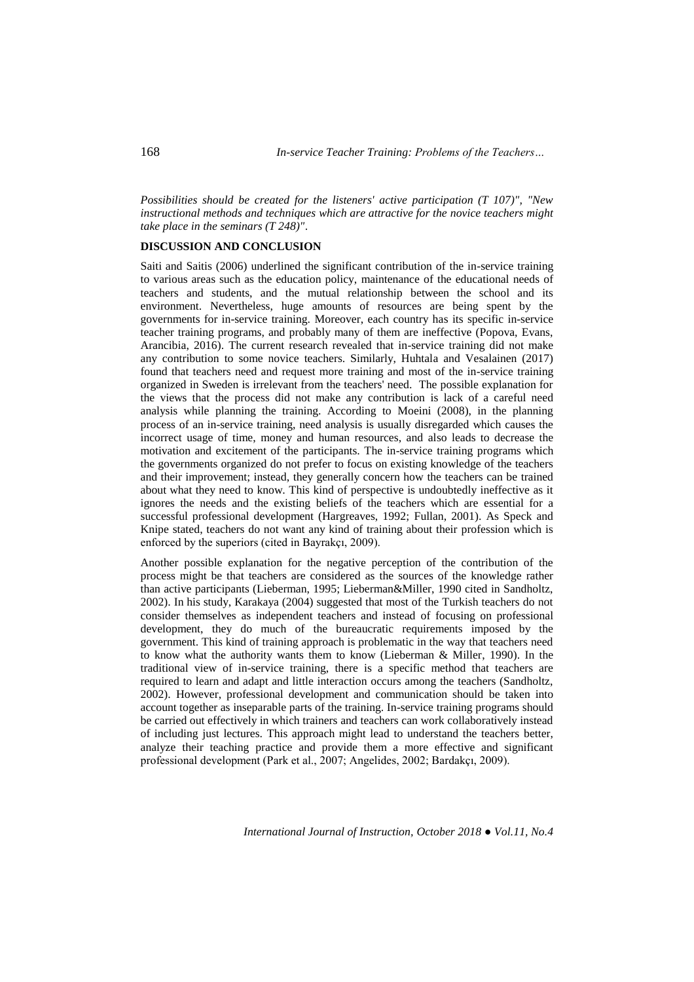*Possibilities should be created for the listeners' active participation (T 107)", "New instructional methods and techniques which are attractive for the novice teachers might take place in the seminars (T 248)"*.

### **DISCUSSION AND CONCLUSION**

Saiti and Saitis (2006) underlined the significant contribution of the in-service training to various areas such as the education policy, maintenance of the educational needs of teachers and students, and the mutual relationship between the school and its environment. Nevertheless, huge amounts of resources are being spent by the governments for in-service training. Moreover, each country has its specific in-service teacher training programs, and probably many of them are ineffective (Popova, Evans, Arancibia, 2016). The current research revealed that in-service training did not make any contribution to some novice teachers. Similarly, Huhtala and Vesalainen (2017) found that teachers need and request more training and most of the in-service training organized in Sweden is irrelevant from the teachers' need. The possible explanation for the views that the process did not make any contribution is lack of a careful need analysis while planning the training. According to Moeini (2008), in the planning process of an in-service training, need analysis is usually disregarded which causes the incorrect usage of time, money and human resources, and also leads to decrease the motivation and excitement of the participants. The in-service training programs which the governments organized do not prefer to focus on existing knowledge of the teachers and their improvement; instead, they generally concern how the teachers can be trained about what they need to know. This kind of perspective is undoubtedly ineffective as it ignores the needs and the existing beliefs of the teachers which are essential for a successful professional development (Hargreaves, 1992; Fullan, 2001). As Speck and Knipe stated, teachers do not want any kind of training about their profession which is enforced by the superiors (cited in Bayrakçı, 2009).

Another possible explanation for the negative perception of the contribution of the process might be that teachers are considered as the sources of the knowledge rather than active participants (Lieberman, 1995; Lieberman&Miller, 1990 cited in Sandholtz, 2002). In his study, Karakaya (2004) suggested that most of the Turkish teachers do not consider themselves as independent teachers and instead of focusing on professional development, they do much of the bureaucratic requirements imposed by the government. This kind of training approach is problematic in the way that teachers need to know what the authority wants them to know (Lieberman & Miller, 1990). In the traditional view of in-service training, there is a specific method that teachers are required to learn and adapt and little interaction occurs among the teachers (Sandholtz, 2002). However, professional development and communication should be taken into account together as inseparable parts of the training. In-service training programs should be carried out effectively in which trainers and teachers can work collaboratively instead of including just lectures. This approach might lead to understand the teachers better, analyze their teaching practice and provide them a more effective and significant professional development (Park et al., 2007; Angelides, 2002; Bardakçı, 2009).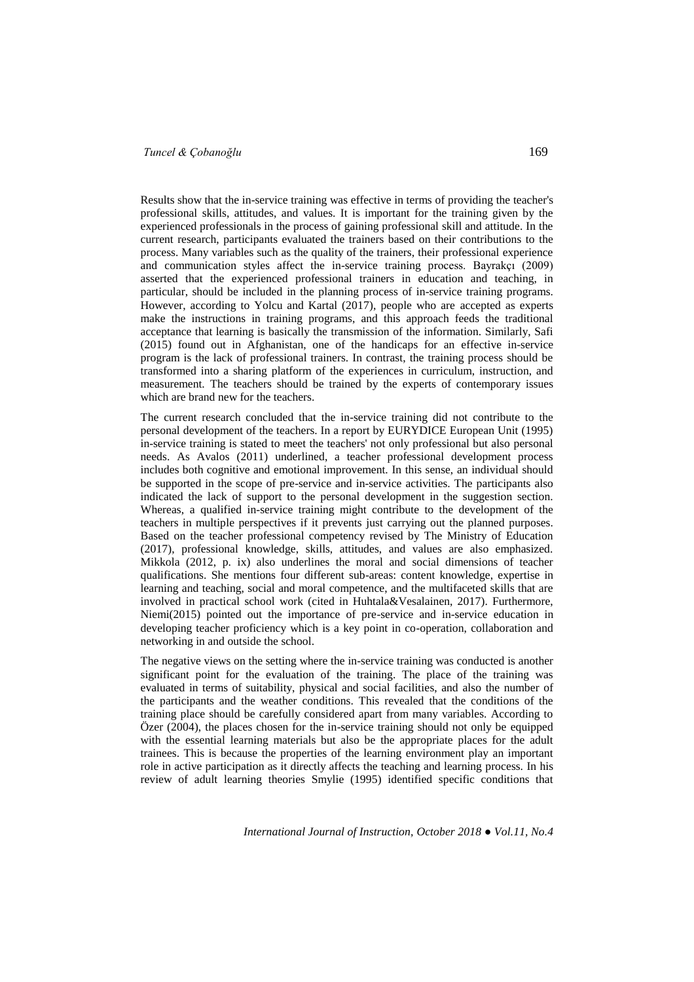### *Tuncel & Çobanoğlu* 169

Results show that the in-service training was effective in terms of providing the teacher's professional skills, attitudes, and values. It is important for the training given by the experienced professionals in the process of gaining professional skill and attitude. In the current research, participants evaluated the trainers based on their contributions to the process. Many variables such as the quality of the trainers, their professional experience and communication styles affect the in-service training process. Bayrakçı (2009) asserted that the experienced professional trainers in education and teaching, in particular, should be included in the planning process of in-service training programs. However, according to Yolcu and Kartal (2017), people who are accepted as experts make the instructions in training programs, and this approach feeds the traditional acceptance that learning is basically the transmission of the information. Similarly, Safi (2015) found out in Afghanistan, one of the handicaps for an effective in-service program is the lack of professional trainers. In contrast, the training process should be transformed into a sharing platform of the experiences in curriculum, instruction, and measurement. The teachers should be trained by the experts of contemporary issues which are brand new for the teachers.

The current research concluded that the in-service training did not contribute to the personal development of the teachers. In a report by EURYDICE European Unit (1995) in-service training is stated to meet the teachers' not only professional but also personal needs. As Avalos (2011) underlined, a teacher professional development process includes both cognitive and emotional improvement. In this sense, an individual should be supported in the scope of pre-service and in-service activities. The participants also indicated the lack of support to the personal development in the suggestion section. Whereas, a qualified in-service training might contribute to the development of the teachers in multiple perspectives if it prevents just carrying out the planned purposes. Based on the teacher professional competency revised by The Ministry of Education (2017), professional knowledge, skills, attitudes, and values are also emphasized. Mikkola (2012, p. ix) also underlines the moral and social dimensions of teacher qualifications. She mentions four different sub-areas: content knowledge, expertise in learning and teaching, social and moral competence, and the multifaceted skills that are involved in practical school work (cited in Huhtala&Vesalainen, 2017). Furthermore, Niemi(2015) pointed out the importance of pre-service and in-service education in developing teacher proficiency which is a key point in co-operation, collaboration and networking in and outside the school.

The negative views on the setting where the in-service training was conducted is another significant point for the evaluation of the training. The place of the training was evaluated in terms of suitability, physical and social facilities, and also the number of the participants and the weather conditions. This revealed that the conditions of the training place should be carefully considered apart from many variables. According to Özer (2004), the places chosen for the in-service training should not only be equipped with the essential learning materials but also be the appropriate places for the adult trainees. This is because the properties of the learning environment play an important role in active participation as it directly affects the teaching and learning process. In his review of adult learning theories Smylie (1995) identified specific conditions that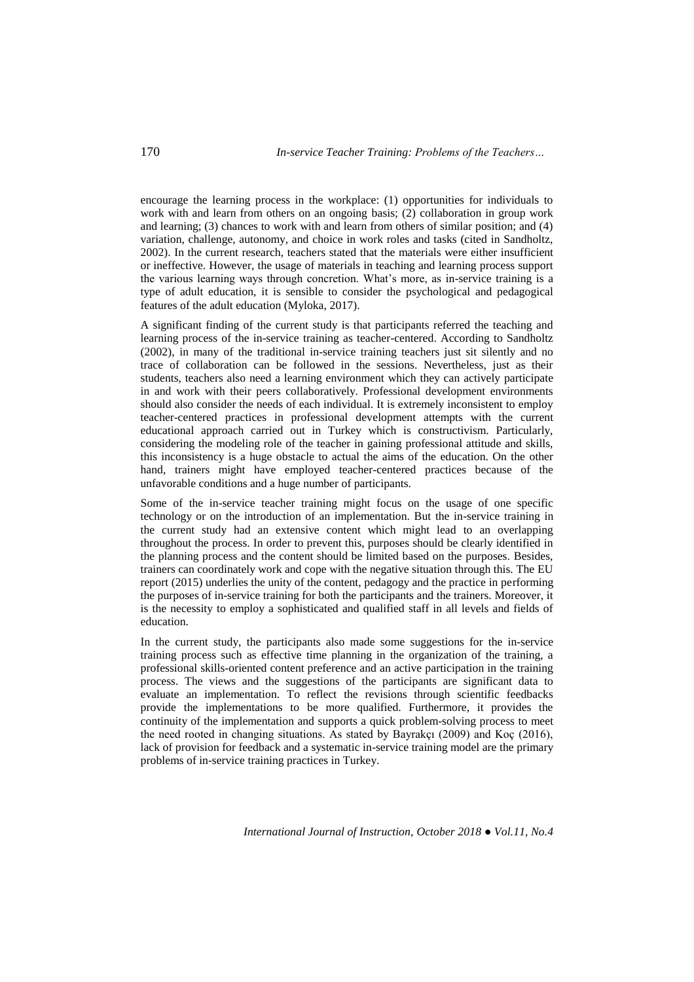encourage the learning process in the workplace: (1) opportunities for individuals to work with and learn from others on an ongoing basis; (2) collaboration in group work and learning; (3) chances to work with and learn from others of similar position; and (4) variation, challenge, autonomy, and choice in work roles and tasks (cited in Sandholtz, 2002). In the current research, teachers stated that the materials were either insufficient or ineffective. However, the usage of materials in teaching and learning process support the various learning ways through concretion. What's more, as in-service training is a type of adult education, it is sensible to consider the psychological and pedagogical features of the adult education (Myloka, 2017).

A significant finding of the current study is that participants referred the teaching and learning process of the in-service training as teacher-centered. According to Sandholtz (2002), in many of the traditional in-service training teachers just sit silently and no trace of collaboration can be followed in the sessions. Nevertheless, just as their students, teachers also need a learning environment which they can actively participate in and work with their peers collaboratively. Professional development environments should also consider the needs of each individual. It is extremely inconsistent to employ teacher-centered practices in professional development attempts with the current educational approach carried out in Turkey which is constructivism. Particularly, considering the modeling role of the teacher in gaining professional attitude and skills, this inconsistency is a huge obstacle to actual the aims of the education. On the other hand, trainers might have employed teacher-centered practices because of the unfavorable conditions and a huge number of participants.

Some of the in-service teacher training might focus on the usage of one specific technology or on the introduction of an implementation. But the in-service training in the current study had an extensive content which might lead to an overlapping throughout the process. In order to prevent this, purposes should be clearly identified in the planning process and the content should be limited based on the purposes. Besides, trainers can coordinately work and cope with the negative situation through this. The EU report (2015) underlies the unity of the content, pedagogy and the practice in performing the purposes of in-service training for both the participants and the trainers. Moreover, it is the necessity to employ a sophisticated and qualified staff in all levels and fields of education.

In the current study, the participants also made some suggestions for the in-service training process such as effective time planning in the organization of the training, a professional skills-oriented content preference and an active participation in the training process. The views and the suggestions of the participants are significant data to evaluate an implementation. To reflect the revisions through scientific feedbacks provide the implementations to be more qualified. Furthermore, it provides the continuity of the implementation and supports a quick problem-solving process to meet the need rooted in changing situations. As stated by Bayrakçı (2009) and Koç (2016), lack of provision for feedback and a systematic in-service training model are the primary problems of in-service training practices in Turkey.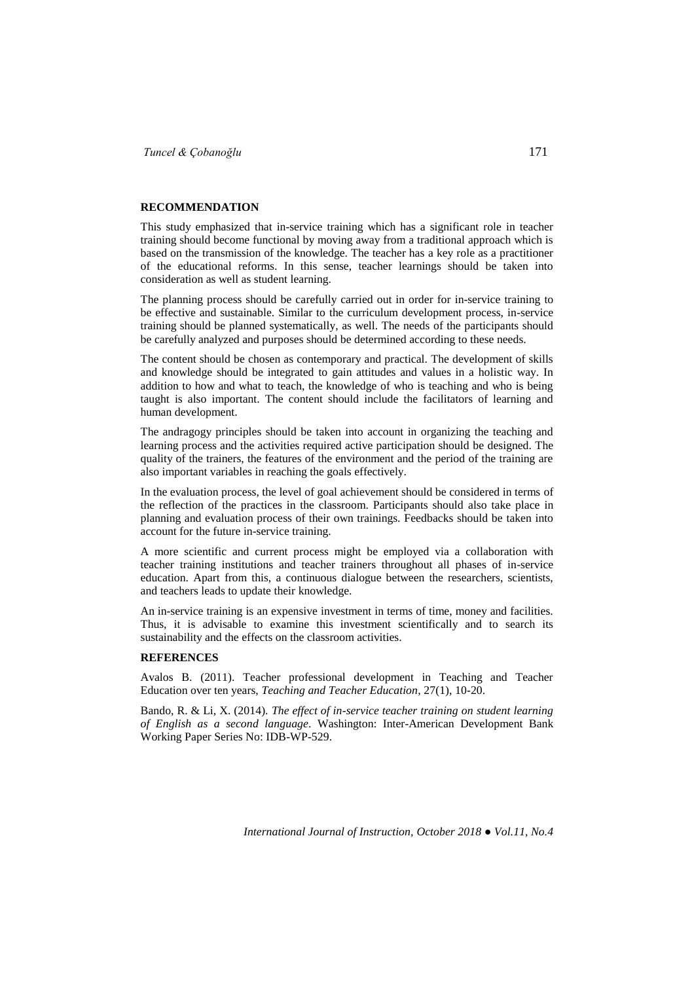#### **RECOMMENDATION**

This study emphasized that in-service training which has a significant role in teacher training should become functional by moving away from a traditional approach which is based on the transmission of the knowledge. The teacher has a key role as a practitioner of the educational reforms. In this sense, teacher learnings should be taken into consideration as well as student learning.

The planning process should be carefully carried out in order for in-service training to be effective and sustainable. Similar to the curriculum development process, in-service training should be planned systematically, as well. The needs of the participants should be carefully analyzed and purposes should be determined according to these needs.

The content should be chosen as contemporary and practical. The development of skills and knowledge should be integrated to gain attitudes and values in a holistic way. In addition to how and what to teach, the knowledge of who is teaching and who is being taught is also important. The content should include the facilitators of learning and human development.

The andragogy principles should be taken into account in organizing the teaching and learning process and the activities required active participation should be designed. The quality of the trainers, the features of the environment and the period of the training are also important variables in reaching the goals effectively.

In the evaluation process, the level of goal achievement should be considered in terms of the reflection of the practices in the classroom. Participants should also take place in planning and evaluation process of their own trainings. Feedbacks should be taken into account for the future in-service training.

A more scientific and current process might be employed via a collaboration with teacher training institutions and teacher trainers throughout all phases of in-service education. Apart from this, a continuous dialogue between the researchers, scientists, and teachers leads to update their knowledge.

An in-service training is an expensive investment in terms of time, money and facilities. Thus, it is advisable to examine this investment scientifically and to search its sustainability and the effects on the classroom activities.

#### **REFERENCES**

Avalos B. (2011). Teacher professional development in Teaching and Teacher Education over ten years, *Teaching and Teacher Education*, 27(1), 10-20.

Bando, R. & Li, X. (2014). *The effect of in-service teacher training on student learning of English as a second language*. Washington: Inter-American Development Bank Working Paper Series No: IDB-WP-529.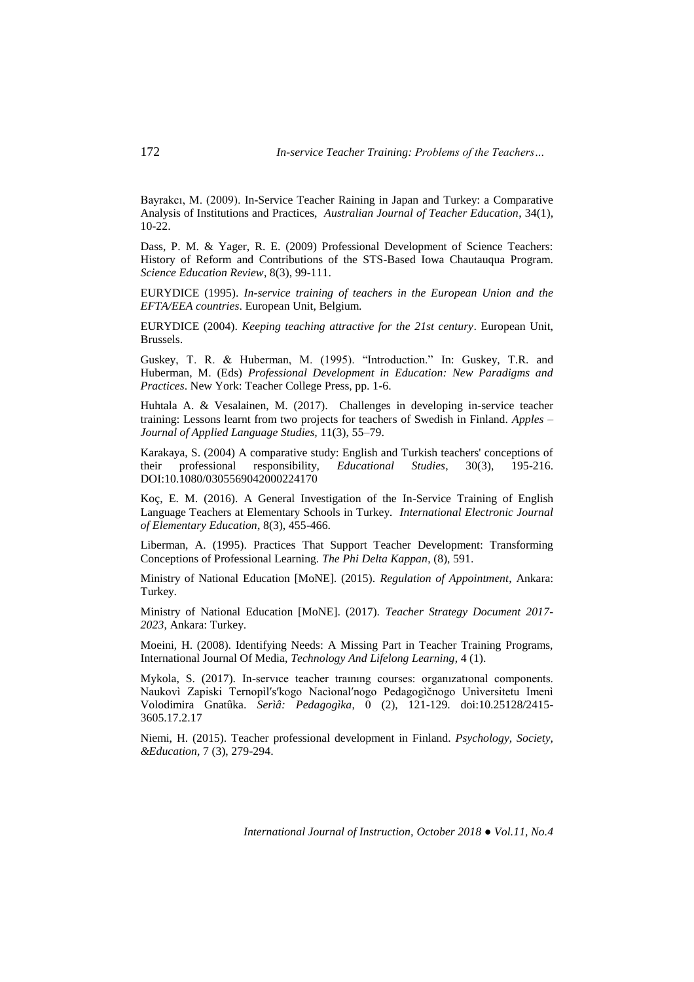Bayrakcı, M. (2009). In-Service Teacher Raining in Japan and Turkey: a Comparative Analysis of Institutions and Practices, *Australian Journal of Teacher Education*, 34(1), 10-22.

Dass, P. M. & Yager, R. E. (2009) Professional Development of Science Teachers: History of Reform and Contributions of the STS-Based Iowa Chautauqua Program. *Science Education Review*, 8(3), 99-111.

EURYDICE (1995). *In-service training of teachers in the European Union and the EFTA/EEA countries*. European Unit, Belgium.

EURYDICE (2004). *Keeping teaching attractive for the 21st century*. European Unit, Brussels.

Guskey, T. R. & Huberman, M. (1995). "Introduction." In: Guskey, T.R. and Huberman, M. (Eds) *Professional Development in Education: New Paradigms and Practices*. New York: Teacher College Press, pp. 1-6.

Huhtala A. & Vesalainen, M. (2017). Challenges in developing in-service teacher training: Lessons learnt from two projects for teachers of Swedish in Finland. *Apples – Journal of Applied Language Studies,* 11(3), 55–79.

Karakaya, S. (2004) A comparative study: English and Turkish teachers' conceptions of their professional responsibility, *Educational Studies*, 30(3), 195-216. their professional responsibility, *Educational Studies*, 30(3), DOI:10.1080/0305569042000224170

Koç, E. M. (2016). A General Investigation of the In-Service Training of English Language Teachers at Elementary Schools in Turkey*. International Electronic Journal of Elementary Education*, 8(3), 455-466.

Liberman, A. (1995). Practices That Support Teacher Development: Transforming Conceptions of Professional Learning. *The Phi Delta Kappan*, (8), 591.

Ministry of National Education [MoNE]. (2015). *Regulation of Appointment*, Ankara: Turkey.

Ministry of National Education [MoNE]. (2017). *Teacher Strategy Document 2017- 2023*, Ankara: Turkey.

Moeini, H. (2008). Identifying Needs: A Missing Part in Teacher Training Programs, International Journal Of Media, *Technology And Lifelong Learning*, 4 (1).

Mykola, S. (2017). In-servıce teacher traınıng courses: organızatıonal components. Naukovì Zapiski Ternopìlʹsʹkogo Nacìonalʹnogo Pedagogìčnogo Unìversitetu Imenì Volodimira Gnatûka. *Serìâ: Pedagogìka*, 0 (2), 121-129. doi:10.25128/2415- 3605.17.2.17

Niemi, H. (2015). Teacher professional development in Finland. *Psychology, Society, &Education*, 7 (3), 279-294.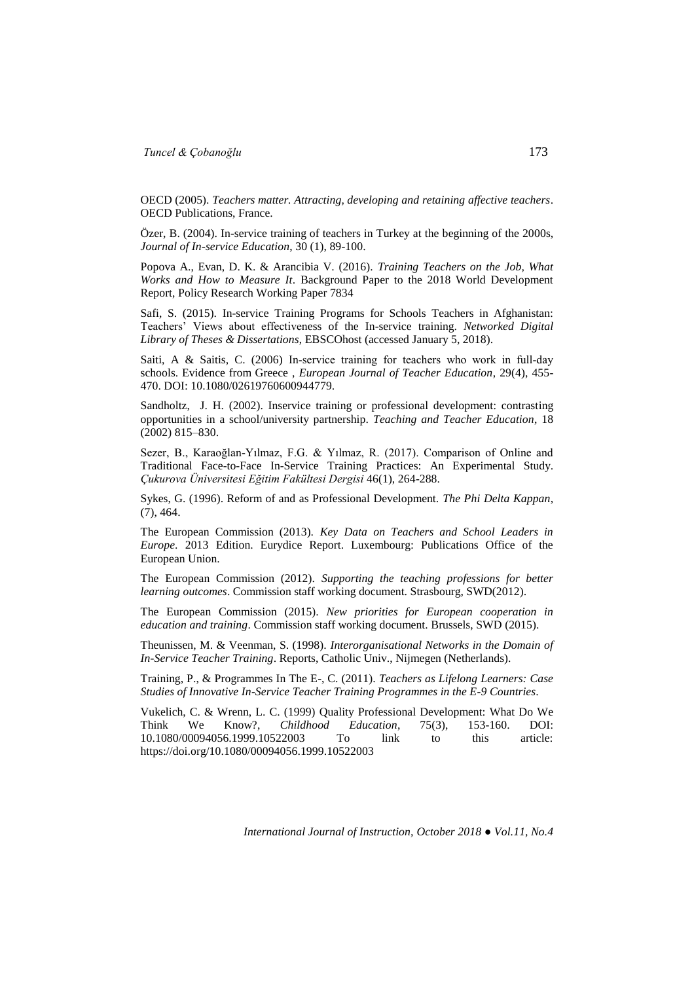OECD (2005). *Teachers matter. Attracting, developing and retaining affective teachers*. OECD Publications, France.

Özer, B. (2004). In-service training of teachers in Turkey at the beginning of the 2000s, *Journal of In-service Education*, 30 (1), 89-100.

Popova A., Evan, D. K. & Arancibia V. (2016). *Training Teachers on the Job, What Works and How to Measure It*. Background Paper to the 2018 World Development Report, Policy Research Working Paper 7834

Safi, S. (2015). In-service Training Programs for Schools Teachers in Afghanistan: Teachers' Views about effectiveness of the In-service training. *Networked Digital Library of Theses & Dissertations*, EBSCOhost (accessed January 5, 2018).

Saiti, A & Saitis, C. (2006) In-service training for teachers who work in full-day schools. Evidence from Greece , *European Journal of Teacher Education*, 29(4), 455- 470. DOI: 10.1080/02619760600944779.

Sandholtz, J. H. (2002). Inservice training or professional development: contrasting opportunities in a school/university partnership. *Teaching and Teacher Education*, 18 (2002) 815–830.

Sezer, B., Karaoğlan-Yılmaz, F.G. & Yılmaz, R. (2017). Comparison of Online and Traditional Face-to-Face In-Service Training Practices: An Experimental Study. *Çukurova Üniversitesi Eğitim Fakültesi Dergisi* 46(1), 264-288.

Sykes, G. (1996). Reform of and as Professional Development. *The Phi Delta Kappan*, (7), 464.

The European Commission (2013). *Key Data on Teachers and School Leaders in Europe*. 2013 Edition. Eurydice Report. Luxembourg: Publications Office of the European Union.

The European Commission (2012). *Supporting the teaching professions for better learning outcomes*. Commission staff working document. Strasbourg, SWD(2012).

The European Commission (2015). *New priorities for European cooperation in education and training*. Commission staff working document. Brussels, SWD (2015).

Theunissen, M. & Veenman, S. (1998). *Interorganisational Networks in the Domain of In-Service Teacher Training*. Reports, Catholic Univ., Nijmegen (Netherlands).

Training, P., & Programmes In The E-, C. (2011). *Teachers as Lifelong Learners: Case Studies of Innovative In-Service Teacher Training Programmes in the E-9 Countries*.

Vukelich, C. & Wrenn, L. C. (1999) Quality Professional Development: What Do We Think We Know?, *Childhood Education*, 75(3), 153-160. DOI: 10.1080/00094056.1999.10522003 To link to this article: https://doi.org/10.1080/00094056.1999.10522003